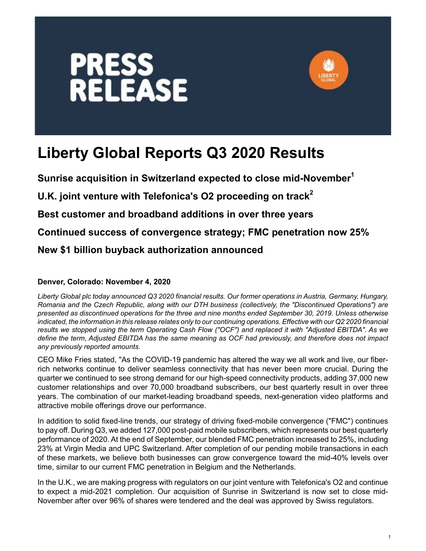



# **Liberty Global Reports Q3 2020 Results**

**Sunrise acquisition in Switzerland expected to close mid-November<sup>1</sup>**

**U.K. joint venture with Telefonica's O2 proceeding on track<sup>2</sup>**

**Best customer and broadband additions in over three years**

**Continued success of convergence strategy; FMC penetration now 25%**

**New \$1 billion buyback authorization announced**

#### **Denver, Colorado: November 4, 2020**

*Liberty Global plc today announced Q3 2020 financial results. Our former operations in Austria, Germany, Hungary, Romania and the Czech Republic, along with our DTH business (collectively, the "Discontinued Operations") are presented as discontinued operations for the three and nine months ended September 30, 2019. Unless otherwise indicated, the information in this release relates only to our continuing operations. Effective with our Q2 2020 financial results we stopped using the term Operating Cash Flow ("OCF") and replaced it with "Adjusted EBITDA". As we define the term, Adjusted EBITDA has the same meaning as OCF had previously, and therefore does not impact any previously reported amounts.* 

CEO Mike Fries stated, "As the COVID-19 pandemic has altered the way we all work and live, our fiberrich networks continue to deliver seamless connectivity that has never been more crucial. During the quarter we continued to see strong demand for our high-speed connectivity products, adding 37,000 new customer relationships and over 70,000 broadband subscribers, our best quarterly result in over three years. The combination of our market-leading broadband speeds, next-generation video platforms and attractive mobile offerings drove our performance.

In addition to solid fixed-line trends, our strategy of driving fixed-mobile convergence ("FMC") continues to pay off. During Q3, we added 127,000 post-paid mobile subscribers, which represents our best quarterly performance of 2020. At the end of September, our blended FMC penetration increased to 25%, including 23% at Virgin Media and UPC Switzerland. After completion of our pending mobile transactions in each of these markets, we believe both businesses can grow convergence toward the mid-40% levels over time, similar to our current FMC penetration in Belgium and the Netherlands.

In the U.K., we are making progress with regulators on our joint venture with Telefonica's O2 and continue to expect a mid-2021 completion. Our acquisition of Sunrise in Switzerland is now set to close mid-November after over 96% of shares were tendered and the deal was approved by Swiss regulators.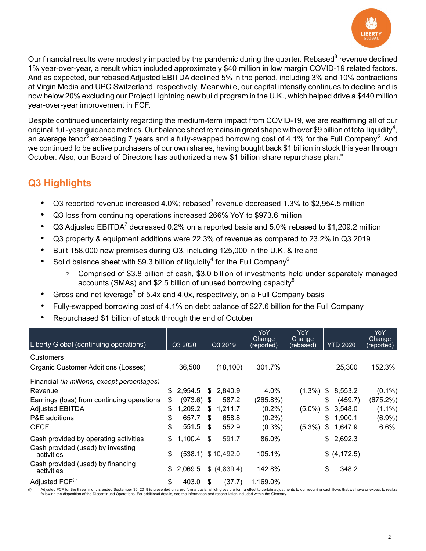

Our financial results were modestly impacted by the pandemic during the quarter. Rebased<sup>3</sup> revenue declined 1% year-over-year, a result which included approximately \$40 million in low margin COVID-19 related factors. And as expected, our rebased Adjusted EBITDA declined 5% in the period, including 3% and 10% contractions at Virgin Media and UPC Switzerland, respectively. Meanwhile, our capital intensity continues to decline and is now below 20% excluding our Project Lightning new build program in the U.K., which helped drive a \$440 million year-over-year improvement in FCF.

Despite continued uncertainty regarding the medium-term impact from COVID-19, we are reaffirming all of our original, full-year guidance metrics. Our balance sheet remains in great shape with over \$9 billion of total liquidity<sup>4</sup>, an average tenor<sup>5</sup> exceeding 7 years and a fully-swapped borrowing cost of 4.1% for the Full Company<sup>6</sup>. And we continued to be active purchasers of our own shares, having bought back \$1 billion in stock this year through October. Also, our Board of Directors has authorized a new \$1 billion share repurchase plan."

# **Q3 Highlights**

- Q3 reported revenue increased 4.0%; rebased<sup>3</sup> revenue decreased 1.3% to \$2,954.5 million
- Q3 loss from continuing operations increased 266% YoY to \$973.6 million
- Q3 Adjusted EBITDA<sup>7</sup> decreased 0.2% on a reported basis and 5.0% rebased to \$1,209.2 million
- Q3 property & equipment additions were 22.3% of revenue as compared to 23.2% in Q3 2019
- Built 158,000 new premises during Q3, including 125,000 in the U.K. & Ireland
- Solid balance sheet with \$9.3 billion of liquidity<sup>4</sup> for the Full Company<sup>6</sup>
	- Comprised of \$3.8 billion of cash, \$3.0 billion of investments held under separately managed accounts (SMAs) and \$2.5 billion of unused borrowing capacity $8$
- Gross and net leverage $^9$  of 5.4x and 4.0x, respectively, on a Full Company basis
- Fully-swapped borrowing cost of 4.1% on debt balance of \$27.6 billion for the Full Company
- Repurchased \$1 billion of stock through the end of October

| Liberty Global (continuing operations)          | Q3 2020            |     | Q3 2019               | YoY<br>Change<br>(reported) | YoY<br>Change<br>(rebased) |               | <b>YTD 2020</b> | YoY<br>Change<br>(reported) |
|-------------------------------------------------|--------------------|-----|-----------------------|-----------------------------|----------------------------|---------------|-----------------|-----------------------------|
| Customers                                       |                    |     |                       |                             |                            |               |                 |                             |
| Organic Customer Additions (Losses)             | 36,500             |     | (18, 100)             | 301.7%                      |                            |               | 25,300          | 152.3%                      |
| Financial (in millions, except percentages)     |                    |     |                       |                             |                            |               |                 |                             |
| Revenue                                         | \$<br>2.954.5      | S.  | 2.840.9               | 4.0%                        | $(1.3\%)$                  | $\frac{1}{2}$ | 8,553.2         | $(0.1\%)$                   |
| Earnings (loss) from continuing operations      | \$<br>$(973.6)$ \$ |     | 587.2                 | (265.8%)                    |                            | \$            | (459.7)         | (675.2%)                    |
| <b>Adjusted EBITDA</b>                          | \$<br>1,209.2      | S   | 1,211.7               | $(0.2\%)$                   | $(5.0\%)$                  | \$            | 3,548.0         | $(1.1\%)$                   |
| P&E additions                                   | \$<br>657.7        | \$. | 658.8                 | $(0.2\%)$                   |                            | \$            | 1,900.1         | $(6.9\%)$                   |
| <b>OFCF</b>                                     | \$<br>551.5        | -\$ | 552.9                 | $(0.3\%)$                   | $(5.3\%)$                  | \$            | 1,647.9         | $6.6\%$                     |
| Cash provided by operating activities           | \$<br>1,100.4      | \$  | 591.7                 | 86.0%                       |                            | \$            | 2,692.3         |                             |
| Cash provided (used) by investing<br>activities | \$                 |     | $(538.1)$ \$ 10,492.0 | 105.1%                      |                            |               | \$ (4, 172.5)   |                             |
| Cash provided (used) by financing<br>activities | \$<br>2,069.5      |     | \$ (4,839.4)          | 142.8%                      |                            | \$            | 348.2           |                             |
| Adjusted FCF <sup>(i)</sup>                     | \$<br>403.0        | \$  | (37.7)                | 1,169.0%                    |                            |               |                 |                             |

(i) Adjusted FCF for the three months ended September 30, 2019 is presented on a pro forma basis, which gives pro forma effect to certain adjustments to our recurring cash flows that we have or expect to realize following the disposition of the Discontinued Operations. For additional details, see the information and reconciliation included within the Glossary.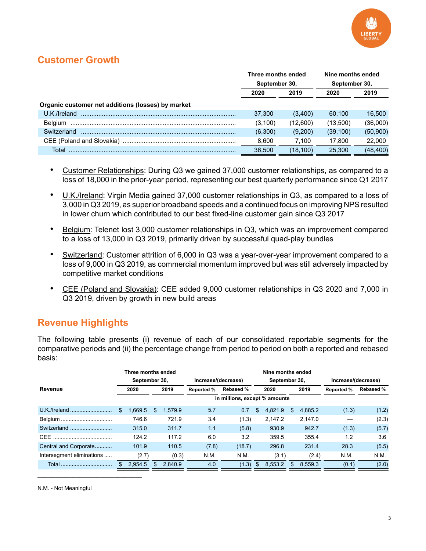

# **Customer Growth**

|                                                   | Three months ended |          | Nine months ended |           |  |
|---------------------------------------------------|--------------------|----------|-------------------|-----------|--|
|                                                   | September 30,      |          | September 30,     |           |  |
|                                                   | 2020               | 2019     | 2020              | 2019      |  |
| Organic customer net additions (losses) by market |                    |          |                   |           |  |
| U.K./Ireland                                      | 37,300             | (3,400)  | 60.100            | 16.500    |  |
| Belaium                                           | (3,100)            | (12,600) | (13,500)          | (36,000)  |  |
| Switzerland                                       | (6,300)            | (9,200)  | (39, 100)         | (50, 900) |  |
|                                                   | 8.600              | 7.100    | 17.800            | 22,000    |  |
| Total                                             | 36.500             | (18,100) | 25,300            | (48, 400) |  |

- Customer Relationships: During Q3 we gained 37,000 customer relationships, as compared to a loss of 18,000 in the prior-year period, representing our best quarterly performance since Q1 2017
- ï U.K./Ireland: Virgin Media gained 37,000 customer relationships in Q3, as compared to a loss of 3,000 in Q3 2019, as superior broadband speeds and a continued focus on improving NPS resulted in lower churn which contributed to our best fixed-line customer gain since Q3 2017
- Belgium: Telenet lost 3,000 customer relationships in Q3, which was an improvement compared to a loss of 13,000 in Q3 2019, primarily driven by successful quad-play bundles
- Switzerland: Customer attrition of 6,000 in Q3 was a year-over-year improvement compared to a loss of 9,000 in Q3 2019, as commercial momentum improved but was still adversely impacted by competitive market conditions
- ï CEE (Poland and Slovakia): CEE added 9,000 customer relationships in Q3 2020 and 7,000 in Q3 2019, driven by growth in new build areas

#### **Revenue Highlights**

The following table presents (i) revenue of each of our consolidated reportable segments for the comparative periods and (ii) the percentage change from period to period on both a reported and rebased basis:

|                           | Three months ended |    |                     |                   |                               |     | Nine months ended |                     |         |                   |                  |
|---------------------------|--------------------|----|---------------------|-------------------|-------------------------------|-----|-------------------|---------------------|---------|-------------------|------------------|
|                           | September 30,      |    | Increase/(decrease) |                   | September 30,                 |     |                   | Increase/(decrease) |         |                   |                  |
| Revenue                   | 2020               |    | 2019                | <b>Reported %</b> | <b>Rebased %</b>              |     | 2020              |                     | 2019    | <b>Reported %</b> | <b>Rebased %</b> |
|                           |                    |    |                     |                   | in millions, except % amounts |     |                   |                     |         |                   |                  |
| U.K./Ireland              | \$<br>1.669.5      | S  | 1.579.9             | 5.7               | 0.7                           | \$  | 4.821.9           | S                   | 4.885.2 | (1.3)             | (1.2)            |
| Belgium                   | 746.6              |    | 721.9               | 3.4               | (1.3)                         |     | 2.147.2           |                     | 2.147.0 |                   | (2.3)            |
| Switzerland               | 315.0              |    | 311.7               | 1.1               | (5.8)                         |     | 930.9             |                     | 942.7   | (1.3)             | (5.7)            |
|                           | 124.2              |    | 117.2               | 6.0               | 3.2                           |     | 359.5             |                     | 355.4   | 1.2               | 3.6              |
| Central and Corporate     | 101.9              |    | 110.5               | (7.8)             | (18.7)                        |     | 296.8             |                     | 231.4   | 28.3              | (5.5)            |
| Intersegment eliminations | (2.7)              |    | (0.3)               | N.M.              | N.M.                          |     | (3.1)             |                     | (2.4)   | N.M.              | N.M.             |
|                           | \$<br>2,954.5      | £. | 2.840.9             | 4.0               | (1.3)                         | \$. | 8.553.2           |                     | 8.559.3 | (0.1)             | (2.0)            |

N.M. - Not Meaningful

 $\mathcal{L}_\text{max}$  , where  $\mathcal{L}_\text{max}$  is the set of the set of the set of the set of the set of the set of the set of the set of the set of the set of the set of the set of the set of the set of the set of the set of the se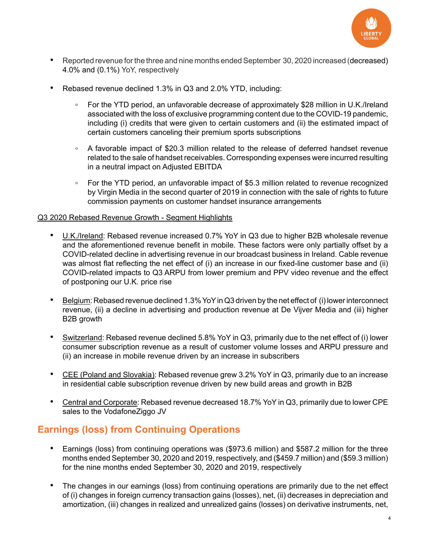

- Reported revenue for the three and nine months ended September 30, 2020 increased (decreased) 4.0% and (0.1%) YoY, respectively
- Rebased revenue declined 1.3% in Q3 and 2.0% YTD, including:
	- For the YTD period, an unfavorable decrease of approximately \$28 million in U.K./Ireland associated with the loss of exclusive programming content due to the COVID-19 pandemic, including (i) credits that were given to certain customers and (ii) the estimated impact of certain customers canceling their premium sports subscriptions
	- A favorable impact of \$20.3 million related to the release of deferred handset revenue related to the sale of handset receivables. Corresponding expenses were incurred resulting in a neutral impact on Adjusted EBITDA
	- For the YTD period, an unfavorable impact of \$5.3 million related to revenue recognized by Virgin Media in the second quarter of 2019 in connection with the sale of rights to future commission payments on customer handset insurance arrangements

#### Q3 2020 Rebased Revenue Growth - Segment Highlights

- U.K./Ireland: Rebased revenue increased 0.7% YoY in Q3 due to higher B2B wholesale revenue and the aforementioned revenue benefit in mobile. These factors were only partially offset by a COVID-related decline in advertising revenue in our broadcast business in Ireland. Cable revenue was almost flat reflecting the net effect of (i) an increase in our fixed-line customer base and (ii) COVID-related impacts to Q3 ARPU from lower premium and PPV video revenue and the effect of postponing our U.K. price rise
- Belgium: Rebased revenue declined 1.3% YoY in Q3 driven by the net effect of (i) lower interconnect revenue, (ii) a decline in advertising and production revenue at De Vijver Media and (iii) higher B2B growth
- Switzerland: Rebased revenue declined 5.8% YoY in Q3, primarily due to the net effect of (i) lower consumer subscription revenue as a result of customer volume losses and ARPU pressure and (ii) an increase in mobile revenue driven by an increase in subscribers
- CEE (Poland and Slovakia): Rebased revenue grew 3.2% YoY in Q3, primarily due to an increase in residential cable subscription revenue driven by new build areas and growth in B2B
- Central and Corporate: Rebased revenue decreased 18.7% YoY in Q3, primarily due to lower CPE sales to the VodafoneZiggo JV

#### **Earnings (loss) from Continuing Operations**

- Earnings (loss) from continuing operations was (\$973.6 million) and \$587.2 million for the three months ended September 30, 2020 and 2019, respectively, and (\$459.7 million) and (\$59.3 million) for the nine months ended September 30, 2020 and 2019, respectively
- The changes in our earnings (loss) from continuing operations are primarily due to the net effect of (i) changes in foreign currency transaction gains (losses), net, (ii) decreases in depreciation and amortization, (iii) changes in realized and unrealized gains (losses) on derivative instruments, net,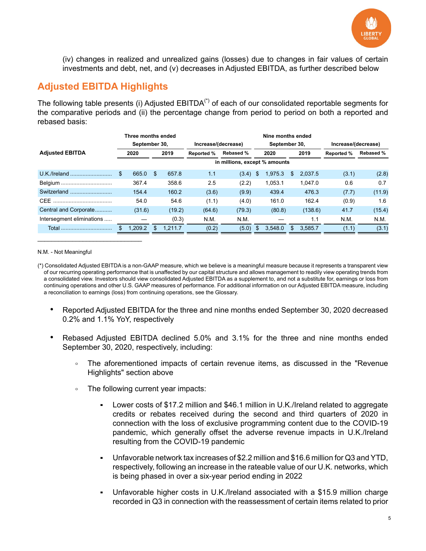

(iv) changes in realized and unrealized gains (losses) due to changes in fair values of certain investments and debt, net, and (v) decreases in Adjusted EBITDA, as further described below

#### **Adjusted EBITDA Highlights**

The following table presents (i) Adjusted EBITDA<sup>(\*)</sup> of each of our consolidated reportable segments for the comparative periods and (ii) the percentage change from period to period on both a reported and rebased basis:

|                           | Three months ended |     |         |                     |                               |               | Nine months ended |    |         |                     |                  |  |
|---------------------------|--------------------|-----|---------|---------------------|-------------------------------|---------------|-------------------|----|---------|---------------------|------------------|--|
|                           | September 30,      |     |         | Increase/(decrease) |                               | September 30, |                   |    |         | Increase/(decrease) |                  |  |
| <b>Adjusted EBITDA</b>    | 2020               |     | 2019    | <b>Reported %</b>   | <b>Rebased %</b>              |               | 2020              |    | 2019    | <b>Reported %</b>   | <b>Rebased %</b> |  |
|                           |                    |     |         |                     | in millions, except % amounts |               |                   |    |         |                     |                  |  |
|                           | \$<br>665.0        | \$. | 657.8   | 1.1                 | (3.4)                         | \$            | 1,975.3           | S  | 2.037.5 | (3.1)               | (2.8)            |  |
| Belgium                   | 367.4              |     | 358.6   | 2.5                 | (2.2)                         |               | 1.053.1           |    | 1.047.0 | 0.6                 | 0.7              |  |
| Switzerland               | 154.4              |     | 160.2   | (3.6)               | (9.9)                         |               | 439.4             |    | 476.3   | (7.7)               | (11.9)           |  |
|                           | 54.0               |     | 54.6    | (1.1)               | (4.0)                         |               | 161.0             |    | 162.4   | (0.9)               | 1.6              |  |
| Central and Corporate     | (31.6)             |     | (19.2)  | (64.6)              | (79.3)                        |               | (80.8)            |    | (138.6) | 41.7                | (15.4)           |  |
| Intersegment eliminations |                    |     | (0.3)   | N.M.                | N.M.                          |               |                   |    | 1.1     | N.M.                | N.M.             |  |
| Total                     | 1.209.2            | S   | 1.211.7 | (0.2)               | (5.0)                         |               | 3.548.0           | £. | 3.585.7 | (1.1)               | (3.1)            |  |

N.M. - Not Meaningful

 $\mathcal{L}_\text{max}$  and  $\mathcal{L}_\text{max}$  and  $\mathcal{L}_\text{max}$  and  $\mathcal{L}_\text{max}$ 

(\*) Consolidated Adjusted EBITDA is a non-GAAP measure, which we believe is a meaningful measure because it represents a transparent view of our recurring operating performance that is unaffected by our capital structure and allows management to readily view operating trends from a consolidated view. Investors should view consolidated Adjusted EBITDA as a supplement to, and not a substitute for, earnings or loss from continuing operations and other U.S. GAAP measures of performance. For additional information on our Adjusted EBITDA measure, including a reconciliation to earnings (loss) from continuing operations, see the Glossary.

- Reported Adjusted EBITDA for the three and nine months ended September 30, 2020 decreased 0.2% and 1.1% YoY, respectively
- Rebased Adjusted EBITDA declined 5.0% and 3.1% for the three and nine months ended September 30, 2020, respectively, including:
	- The aforementioned impacts of certain revenue items, as discussed in the "Revenue Highlights" section above
	- The following current year impacts:
		- Lower costs of \$17.2 million and \$46.1 million in U.K./Ireland related to aggregate credits or rebates received during the second and third quarters of 2020 in connection with the loss of exclusive programming content due to the COVID-19 pandemic, which generally offset the adverse revenue impacts in U.K./Ireland resulting from the COVID-19 pandemic
		- Unfavorable network tax increases of \$2.2 million and \$16.6 million for Q3 and YTD, respectively, following an increase in the rateable value of our U.K. networks, which is being phased in over a six-year period ending in 2022
		- Unfavorable higher costs in U.K./Ireland associated with a \$15.9 million charge recorded in Q3 in connection with the reassessment of certain items related to prior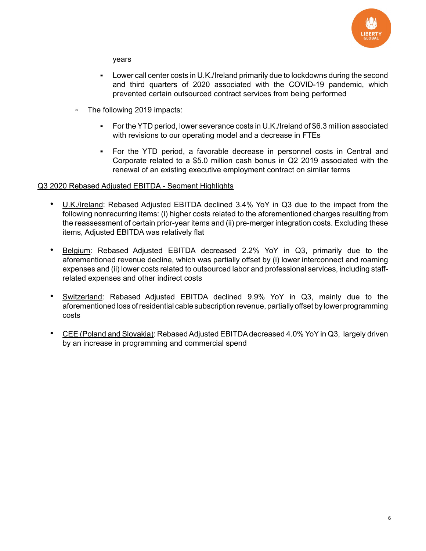

years

- Lower call center costs in U.K./Ireland primarily due to lockdowns during the second and third quarters of 2020 associated with the COVID-19 pandemic, which prevented certain outsourced contract services from being performed
- The following 2019 impacts:
	- For the YTD period, lower severance costs in U.K./Ireland of \$6.3 million associated with revisions to our operating model and a decrease in FTEs
	- For the YTD period, a favorable decrease in personnel costs in Central and Corporate related to a \$5.0 million cash bonus in Q2 2019 associated with the renewal of an existing executive employment contract on similar terms

#### Q3 2020 Rebased Adjusted EBITDA - Segment Highlights

- U.K./Ireland: Rebased Adjusted EBITDA declined 3.4% YoY in Q3 due to the impact from the following nonrecurring items: (i) higher costs related to the aforementioned charges resulting from the reassessment of certain prior-year items and (ii) pre-merger integration costs. Excluding these items, Adjusted EBITDA was relatively flat
- Belgium: Rebased Adjusted EBITDA decreased 2.2% YoY in Q3, primarily due to the aforementioned revenue decline, which was partially offset by (i) lower interconnect and roaming expenses and (ii) lower costs related to outsourced labor and professional services, including staffrelated expenses and other indirect costs
- Switzerland: Rebased Adjusted EBITDA declined 9.9% YoY in Q3, mainly due to the aforementioned loss of residential cable subscription revenue, partially offset by lower programming costs
- CEE (Poland and Slovakia): Rebased Adjusted EBITDA decreased 4.0% YoY in Q3, largely driven by an increase in programming and commercial spend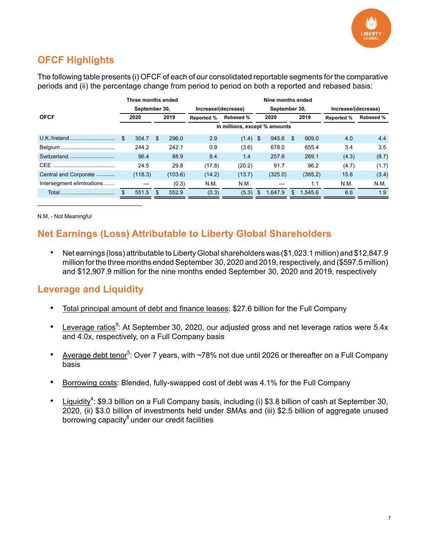

# **OFCF Highlights**

The following table presents (i) OFCF of each of our consolidated reportable segments for the comparative periods and (ii) the percentage change from period to period on both a reported and rebased basis:

|                           |               | Nine months ended |         |                     |                               |               |         |     |                     |                   |                  |  |  |
|---------------------------|---------------|-------------------|---------|---------------------|-------------------------------|---------------|---------|-----|---------------------|-------------------|------------------|--|--|
|                           | September 30, |                   |         | Increase/(decrease) |                               | September 30, |         |     | Increase/(decrease) |                   |                  |  |  |
| <b>OFCF</b>               | 2020          | 2019              |         | <b>Reported %</b>   | <b>Rebased %</b>              |               | 2020    |     | 2019                | <b>Reported %</b> | <b>Rebased %</b> |  |  |
|                           |               |                   |         |                     | in millions, except % amounts |               |         |     |                     |                   |                  |  |  |
|                           | \$<br>304.7   | S                 | 296.0   | 2.9                 | (1.4)                         | \$            | 945.6   | \$  | 909.0               | 4.0               | 4.4              |  |  |
|                           | 244.2         |                   | 242.1   | 0.9                 | (3.6)                         |               | 678.0   |     | 655.4               | 3.4               | 3.5              |  |  |
| Switzerland               | 96.4          |                   | 88.9    | 8.4                 | 1.4                           |               | 257.6   |     | 269.1               | (4.3)             | (8.7)            |  |  |
|                           | 24.5          |                   | 29.8    | (17.8)              | (20.2)                        |               | 91.7    |     | 96.2                | (4.7)             | (1.7)            |  |  |
| Central and Corporate     | (118.3)       |                   | (103.6) | (14.2)              | (13.7)                        |               | (325.0) |     | (385.2)             | 15.6              | (3.4)            |  |  |
| Intersegment eliminations |               |                   | (0.3)   | N.M.                | N.M.                          |               |         |     | 1.1                 | N.M.              | N.M.             |  |  |
|                           | 551.5         | \$                | 552.9   | (0.3)               | (5.3)                         | \$            | 1.647.9 | \$. | 1.545.6             | 6.6               | 1.9              |  |  |

N.M. - Not Meaningful

### **Net Earnings (Loss) Attributable to Liberty Global Shareholders**

• Net earnings (loss) attributable to Liberty Global shareholders was (\$1,023.1 million) and \$12,847.9 million for the three months ended September 30, 2020 and 2019, respectively, and (\$597.5 million) and \$12,907.9 million for the nine months ended September 30, 2020 and 2019, respectively

#### **Leverage and Liquidity**

 $\mathcal{L}_\text{max}$  and  $\mathcal{L}_\text{max}$  and  $\mathcal{L}_\text{max}$  and  $\mathcal{L}_\text{max}$ 

- Total principal amount of debt and finance leases: \$27.6 billion for the Full Company
- Leverage ratios<sup>9</sup>: At September 30, 2020, our adjusted gross and net leverage ratios were 5.4x and 4.0x, respectively, on a Full Company basis
- Average debt tenor<sup>5</sup>: Over 7 years, with ~78% not due until 2026 or thereafter on a Full Company basis
- Borrowing costs: Blended, fully-swapped cost of debt was 4.1% for the Full Company
- Liquidity<sup>4</sup>: \$9.3 billion on a Full Company basis, including (i) \$3.8 billion of cash at September 30, 2020, (ii) \$3.0 billion of investments held under SMAs and (iii) \$2.5 billion of aggregate unused borrowing capacity $8$  under our credit facilities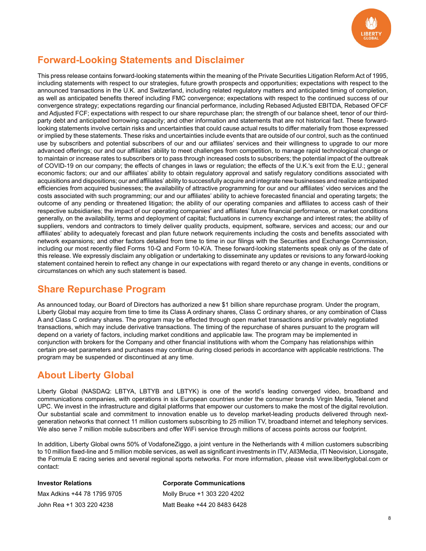

## **Forward-Looking Statements and Disclaimer**

This press release contains forward-looking statements within the meaning of the Private Securities Litigation Reform Act of 1995, including statements with respect to our strategies, future growth prospects and opportunities; expectations with respect to the announced transactions in the U.K. and Switzerland, including related regulatory matters and anticipated timing of completion, as well as anticipated benefits thereof including FMC convergence; expectations with respect to the continued success of our convergence strategy; expectations regarding our financial performance, including Rebased Adjusted EBITDA, Rebased OFCF and Adjusted FCF; expectations with respect to our share repurchase plan; the strength of our balance sheet, tenor of our thirdparty debt and anticipated borrowing capacity; and other information and statements that are not historical fact. These forwardlooking statements involve certain risks and uncertainties that could cause actual results to differ materially from those expressed or implied by these statements. These risks and uncertainties include events that are outside of our control, such as the continued use by subscribers and potential subscribers of our and our affiliates' services and their willingness to upgrade to our more advanced offerings; our and our affiliates' ability to meet challenges from competition, to manage rapid technological change or to maintain or increase rates to subscribers or to pass through increased costs to subscribers; the potential impact of the outbreak of COVID-19 on our company; the effects of changes in laws or regulation; the effects of the U.K.'s exit from the E.U.; general economic factors; our and our affiliates' ability to obtain regulatory approval and satisfy regulatory conditions associated with acquisitions and dispositions; our and affiliates' ability to successfully acquire and integrate new businesses and realize anticipated efficiencies from acquired businesses; the availability of attractive programming for our and our affiliates' video services and the costs associated with such programming; our and our affiliates' ability to achieve forecasted financial and operating targets; the outcome of any pending or threatened litigation; the ability of our operating companies and affiliates to access cash of their respective subsidiaries; the impact of our operating companies' and affiliates' future financial performance, or market conditions generally, on the availability, terms and deployment of capital; fluctuations in currency exchange and interest rates; the ability of suppliers, vendors and contractors to timely deliver quality products, equipment, software, services and access; our and our affiliates' ability to adequately forecast and plan future network requirements including the costs and benefits associated with network expansions; and other factors detailed from time to time in our filings with the Securities and Exchange Commission, including our most recently filed Forms 10-Q and Form 10-K/A. These forward-looking statements speak only as of the date of this release. We expressly disclaim any obligation or undertaking to disseminate any updates or revisions to any forward-looking statement contained herein to reflect any change in our expectations with regard thereto or any change in events, conditions or circumstances on which any such statement is based.

### **Share Repurchase Program**

As announced today, our Board of Directors has authorized a new \$1 billion share repurchase program. Under the program, Liberty Global may acquire from time to time its Class A ordinary shares, Class C ordinary shares, or any combination of Class A and Class C ordinary shares. The program may be effected through open market transactions and/or privately negotiated transactions, which may include derivative transactions. The timing of the repurchase of shares pursuant to the program will depend on a variety of factors, including market conditions and applicable law. The program may be implemented in conjunction with brokers for the Company and other financial institutions with whom the Company has relationships within certain pre-set parameters and purchases may continue during closed periods in accordance with applicable restrictions. The program may be suspended or discontinued at any time.

### **About Liberty Global**

Liberty Global (NASDAQ: LBTYA, LBTYB and LBTYK) is one of the world's leading converged video, broadband and communications companies, with operations in six European countries under the consumer brands Virgin Media, Telenet and UPC. We invest in the infrastructure and digital platforms that empower our customers to make the most of the digital revolution. Our substantial scale and commitment to innovation enable us to develop market-leading products delivered through nextgeneration networks that connect 11 million customers subscribing to 25 million TV, broadband internet and telephony services. We also serve 7 million mobile subscribers and offer WiFi service through millions of access points across our footprint.

In addition, Liberty Global owns 50% of VodafoneZiggo, a joint venture in the Netherlands with 4 million customers subscribing to 10 million fixed-line and 5 million mobile services, as well as significant investments in ITV, All3Media, ITI Neovision, Lionsgate, the Formula E racing series and several regional sports networks. For more information, please visit www.libertyglobal.com or contact:

| <b>Investor Relations</b>   | <b>Corporate Communications</b> |
|-----------------------------|---------------------------------|
| Max Adkins +44 78 1795 9705 | Molly Bruce +1 303 220 4202     |
| John Rea +1 303 220 4238    | Matt Beake +44 20 8483 6428     |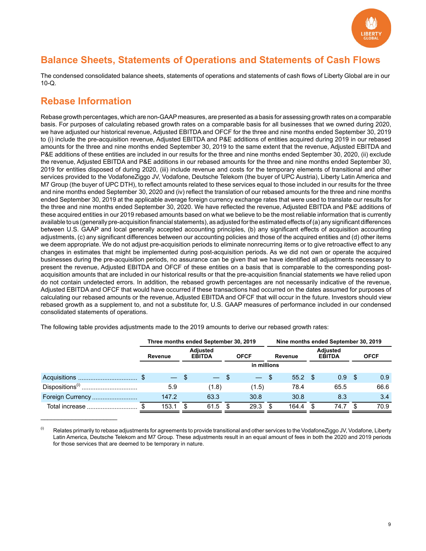

### **Balance Sheets, Statements of Operations and Statements of Cash Flows**

The condensed consolidated balance sheets, statements of operations and statements of cash flows of Liberty Global are in our 10-Q.

### **Rebase Information**

 $\mathcal{L}_\text{max}$  and  $\mathcal{L}_\text{max}$  and  $\mathcal{L}_\text{max}$ 

Rebase growth percentages, which are non-GAAP measures, are presented as a basis for assessing growth rates on a comparable basis. For purposes of calculating rebased growth rates on a comparable basis for all businesses that we owned during 2020, we have adjusted our historical revenue, Adjusted EBITDA and OFCF for the three and nine months ended September 30, 2019 to (i) include the pre-acquisition revenue, Adjusted EBITDA and P&E additions of entities acquired during 2019 in our rebased amounts for the three and nine months ended September 30, 2019 to the same extent that the revenue, Adjusted EBITDA and P&E additions of these entities are included in our results for the three and nine months ended September 30, 2020, (ii) exclude the revenue, Adjusted EBITDA and P&E additions in our rebased amounts for the three and nine months ended September 30, 2019 for entities disposed of during 2020, (iii) include revenue and costs for the temporary elements of transitional and other services provided to the VodafoneZiggo JV, Vodafone, Deutsche Telekom (the buyer of UPC Austria), Liberty Latin America and M7 Group (the buyer of UPC DTH), to reflect amounts related to these services equal to those included in our results for the three and nine months ended September 30, 2020 and (iv) reflect the translation of our rebased amounts for the three and nine months ended September 30, 2019 at the applicable average foreign currency exchange rates that were used to translate our results for the three and nine months ended September 30, 2020. We have reflected the revenue, Adjusted EBITDA and P&E additions of these acquired entities in our 2019 rebased amounts based on what we believe to be the most reliable information that is currently available to us (generally pre-acquisition financial statements), as adjusted for the estimated effects of (a) any significant differences between U.S. GAAP and local generally accepted accounting principles, (b) any significant effects of acquisition accounting adjustments, (c) any significant differences between our accounting policies and those of the acquired entities and (d) other items we deem appropriate. We do not adjust pre-acquisition periods to eliminate nonrecurring items or to give retroactive effect to any changes in estimates that might be implemented during post-acquisition periods. As we did not own or operate the acquired businesses during the pre-acquisition periods, no assurance can be given that we have identified all adjustments necessary to present the revenue, Adjusted EBITDA and OFCF of these entities on a basis that is comparable to the corresponding postacquisition amounts that are included in our historical results or that the pre-acquisition financial statements we have relied upon do not contain undetected errors. In addition, the rebased growth percentages are not necessarily indicative of the revenue, Adjusted EBITDA and OFCF that would have occurred if these transactions had occurred on the dates assumed for purposes of calculating our rebased amounts or the revenue, Adjusted EBITDA and OFCF that will occur in the future. Investors should view rebased growth as a supplement to, and not a substitute for, U.S. GAAP measures of performance included in our condensed consolidated statements of operations.

|                             |                                             |        |   | Three months ended September 30, 2019 |             |                          | Nine months ended September 30, 2019 |           |                                  |      |             |      |  |  |  |
|-----------------------------|---------------------------------------------|--------|---|---------------------------------------|-------------|--------------------------|--------------------------------------|-----------|----------------------------------|------|-------------|------|--|--|--|
|                             | <b>Adiusted</b><br><b>EBITDA</b><br>Revenue |        |   |                                       | <b>OFCF</b> |                          | Revenue                              |           | <b>Adjusted</b><br><b>EBITDA</b> |      | <b>OFCF</b> |      |  |  |  |
|                             |                                             |        |   |                                       |             | in millions              |                                      |           |                                  |      |             |      |  |  |  |
|                             |                                             | $-$ \$ |   | $-$ \$                                |             | $\overline{\phantom{m}}$ | - \$                                 | $55.2$ \$ |                                  | 0.9  | - \$        | 0.9  |  |  |  |
| Dispositions <sup>(i)</sup> |                                             | 5.9    |   | (1.8)                                 |             | (1.5)                    |                                      | 78.4      |                                  | 65.5 |             | 66.6 |  |  |  |
| Foreign Currency            |                                             | 147.2  |   | 63.3                                  |             | 30.8                     |                                      | 30.8      |                                  | 8.3  |             | 3.4  |  |  |  |
| Total increase              |                                             | 153.1  | S | 61.5                                  | S           | 29.3                     |                                      | 164.4     | S                                | 74.7 |             | 70.9 |  |  |  |

The following table provides adjustments made to the 2019 amounts to derive our rebased growth rates:

(i) Relates primarily to rebase adjustments for agreements to provide transitional and other services to the VodafoneZiggo JV, Vodafone, Liberty Latin America, Deutsche Telekom and M7 Group. These adjustments result in an equal amount of fees in both the 2020 and 2019 periods for those services that are deemed to be temporary in nature.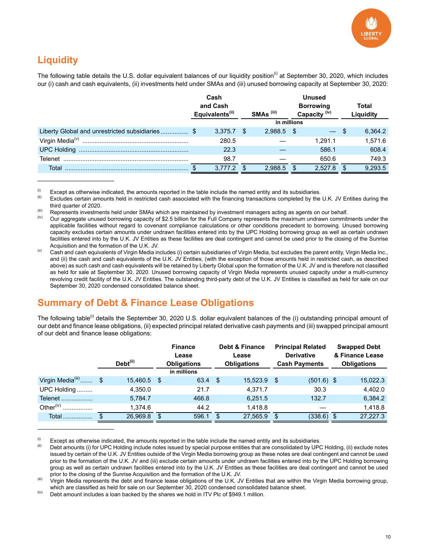

# **Liquidity**

 $\mathcal{L}_\text{max}$  and  $\mathcal{L}_\text{max}$  and  $\mathcal{L}_\text{max}$ 

 $\mathcal{L}=\{1,2,3,4,5\}$ 

The following table details the U.S. dollar equivalent balances of our liquidity position<sup>(i)</sup> at September 30, 2020, which includes our (i) cash and cash equivalents, (ii) investments held under SMAs and (iii) unused borrowing capacity at September 30, 2020:

|                                                | Cash<br>and Cash<br>Equivalents <sup>(ii)</sup> |    | SMAs <sup>(iii)</sup> | <b>Unused</b><br><b>Borrowing</b><br>Capacity <sup>(iv)</sup> | Total<br>Liquidity |
|------------------------------------------------|-------------------------------------------------|----|-----------------------|---------------------------------------------------------------|--------------------|
|                                                |                                                 |    | in millions           |                                                               |                    |
| Liberty Global and unrestricted subsidiaries\$ | $3,375.7$ \$                                    |    | $2,988.5$ \$          | $-$ \$                                                        | 6,364.2            |
|                                                | 280.5                                           |    |                       | 1.291.1                                                       | 1.571.6            |
|                                                | 22.3                                            |    |                       | 586.1                                                         | 608.4              |
|                                                | 98.7                                            |    |                       | 650.6                                                         | 749.3              |
| Total                                          | 3,777.2                                         | -S | 2.988.5               | 2.527.8                                                       | 9,293.5            |

(i) Except as otherwise indicated, the amounts reported in the table include the named entity and its subsidiaries.<br>(ii) Excludes earlying amounts hald in restricted seek associated with the financing transactions complet

(iii) Represents investments held under SMAs which are maintained by investment managers acting as agents on our behalf.

Our aggregate unused borrowing capacity of \$2.5 billion for the Full Company represents the maximum undrawn commitments under the applicable facilities without regard to covenant compliance calculations or other conditions precedent to borrowing. Unused borrowing capacity excludes certain amounts under undrawn facilities entered into by the UPC Holding borrowing group as well as certain undrawn facilities entered into by the U.K. JV Entities as these facilities are deal contingent and cannot be used prior to the closing of the Sunrise Acquisition and the formation of the U.K. JV.

 $^{(v)}$  Cash and cash equivalents of Virgin Media includes (i) certain subsidiaries of Virgin Media, but excludes the parent entity, Virgin Media Inc., and (ii) the cash and cash equivalents of the U.K. JV Entities, (with the exception of those amounts held in restricted cash, as described above) as such cash and cash equivalents will be retained by Liberty Global upon the formation of the U.K. JV and is therefore not classified as held for sale at September 30, 2020. Unused borrowing capacity of Virgin Media represents unused capacity under a multi-currency revolving credit facility of the U.K. JV Entities. The outstanding third-party debt of the U.K. JV Entities is classified as held for sale on our September 30, 2020 condensed consolidated balance sheet.

### **Summary of Debt & Finance Lease Obligations**

The following table<sup>(i)</sup> details the September 30, 2020 U.S. dollar equivalent balances of the (i) outstanding principal amount of our debt and finance lease obligations, (ii) expected principal related derivative cash payments and (iii) swapped principal amount of our debt and finance lease obligations:

|                            | Debt <sup>(ii)</sup> | <b>Finance</b><br>Lease<br><b>Obligations</b> |    | <b>Debt &amp; Finance</b><br>Lease<br><b>Obligations</b> | <b>Principal Related</b><br><b>Derivative</b><br><b>Cash Payments</b> |      | <b>Swapped Debt</b><br>& Finance Lease<br><b>Obligations</b> |
|----------------------------|----------------------|-----------------------------------------------|----|----------------------------------------------------------|-----------------------------------------------------------------------|------|--------------------------------------------------------------|
|                            |                      | in millions                                   |    |                                                          |                                                                       |      |                                                              |
| Virgin Media $^{(iii)}$ \$ | 15,460.5 \$          | 63.4                                          | \$ | 15,523.9                                                 | \$<br>$(501.6)$ \$                                                    |      | 15,022.3                                                     |
| UPC Holding                | 4,350.0              | 21.7                                          |    | 4,371.7                                                  | 30.3                                                                  |      | 4,402.0                                                      |
| Telenet                    | 5,784.7              | 466.8                                         |    | 6.251.5                                                  | 132.7                                                                 |      | 6,384.2                                                      |
| Other $(iv)$<br>.          | 1,374.6              | 44.2                                          |    | 1,418.8                                                  |                                                                       |      | 1,418.8                                                      |
| Total                      | 26,969.8             | \$<br>596.1                                   | \$ | 27,565.9                                                 | \$<br>(338.6)                                                         | - \$ | 27,227.3                                                     |

(i) Except as otherwise indicated, the amounts reported in the table include the named entity and its subsidiaries.<br>(ii) Debt amounts (i) for UDC Uplding include nates inquad by apocial purpose ontities that are consolida

Excludes certain amounts held in restricted cash associated with the financing transactions completed by the U.K. JV Entities during the third quarter of 2020.

Debt amounts (i) for UPC Holding include notes issued by special purpose entities that are consolidated by UPC Holding, (ii) exclude notes issued by certain of the U.K. JV Entities outside of the Virgin Media borrowing group as these notes are deal contingent and cannot be used prior to the formation of the U.K. JV and (iii) exclude certain amounts under undrawn facilities entered into by the UPC Holding borrowing group as well as certain undrawn facilities entered into by the U.K. JV Entities as these facilities are deal contingent and cannot be used prior to the closing of the Sunrise Acquisition and the formation of the U.K. JV.

<sup>(</sup>iii) Virgin Media represents the debt and finance lease obligations of the U.K. JV Entities that are within the Virgin Media borrowing group, which are classified as held for sale on our September 30, 2020 condensed consolidated balance sheet.

 $^{(iv)}$  Debt amount includes a loan backed by the shares we hold in ITV Plc of \$949.1 million.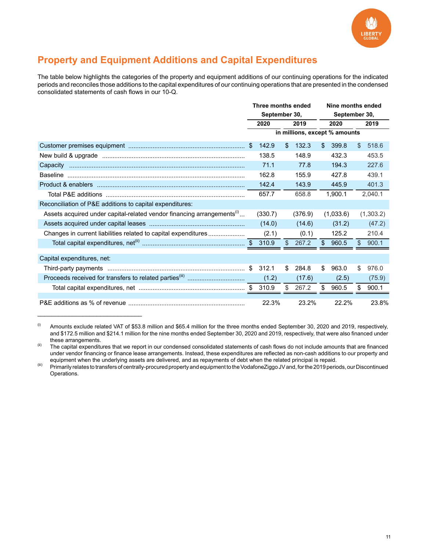

### **Property and Equipment Additions and Capital Expenditures**

The table below highlights the categories of the property and equipment additions of our continuing operations for the indicated periods and reconciles those additions to the capital expenditures of our continuing operations that are presented in the condensed consolidated statements of cash flows in our 10-Q.

|                                                                                    | Three months ended |                |         |              | Nine months ended             |             |
|------------------------------------------------------------------------------------|--------------------|----------------|---------|--------------|-------------------------------|-------------|
|                                                                                    | September 30,      |                |         |              | September 30,                 |             |
|                                                                                    | 2020               |                | 2019    |              | 2020                          | 2019        |
|                                                                                    |                    |                |         |              | in millions, except % amounts |             |
|                                                                                    | 142.9              | \$             | 132.3   | $\mathbb{S}$ | 399.8                         | \$<br>518.6 |
|                                                                                    | 138.5              |                | 148.9   |              | 432.3                         | 453.5       |
| Capacity                                                                           | 71.1               |                | 77.8    |              | 194.3                         | 227.6       |
|                                                                                    | 162.8              |                | 155.9   |              | 427.8                         | 439.1       |
|                                                                                    | 142.4              |                | 143.9   |              | 445.9                         | 401.3       |
|                                                                                    | 657.7              |                | 658.8   |              | 1.900.1                       | 2,040.1     |
| Reconciliation of P&E additions to capital expenditures:                           |                    |                |         |              |                               |             |
| Assets acquired under capital-related vendor financing arrangements <sup>(i)</sup> | (330.7)            |                | (376.9) |              | (1,033.6)                     | (1,303.2)   |
|                                                                                    | (14.0)             |                | (14.6)  |              | (31.2)                        | (47.2)      |
| Changes in current liabilities related to capital expenditures                     | (2.1)              |                | (0.1)   |              | 125.2                         | 210.4       |
|                                                                                    |                    | $\mathfrak{S}$ | 267.2   | $\mathbb{S}$ | 960.5                         | \$<br>900.1 |
|                                                                                    |                    |                |         |              |                               |             |
| Capital expenditures, net:                                                         |                    |                |         |              |                               |             |
|                                                                                    | \$<br>312.1        | \$             | 284.8   | \$           | 963.0                         | \$<br>976.0 |
|                                                                                    | (1.2)              |                | (17.6)  |              | (2.5)                         | (75.9)      |
|                                                                                    | 310.9              | \$             | 267.2   | \$           | 960.5                         | \$<br>900.1 |
|                                                                                    |                    |                |         |              |                               |             |
|                                                                                    | 22.3%              |                | 23.2%   |              | 22.2%                         | 23.8%       |

 $^{(i)}$  Amounts exclude related VAT of \$53.8 million and \$65.4 million for the three months ended September 30, 2020 and 2019, respectively, and \$172.5 million and \$214.1 million for the nine months ended September 30, 2020 and 2019, respectively, that were also financed under these arrangements.

 $\mathcal{L}_\text{max}$  and  $\mathcal{L}_\text{max}$  and  $\mathcal{L}_\text{max}$  and  $\mathcal{L}_\text{max}$ 

(iii) Primarily relates to transfers of centrally-procured property and equipment to the VodafoneZiggo JV and, for the 2019 periods, our Discontinued Operations.

<sup>(</sup>ii) The capital expenditures that we report in our condensed consolidated statements of cash flows do not include amounts that are financed under vendor financing or finance lease arrangements. Instead, these expenditures are reflected as non-cash additions to our property and equipment when the underlying assets are delivered, and as repayments of debt when the related principal is repaid.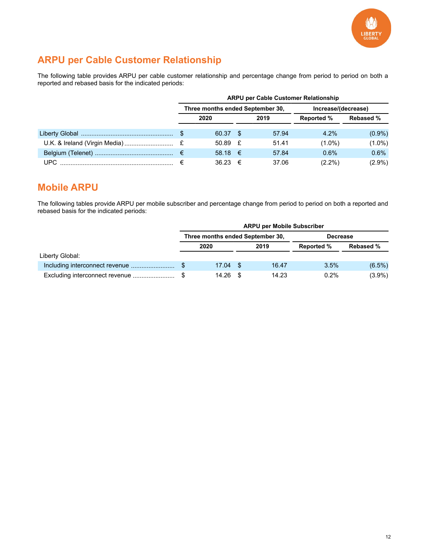

# **ARPU per Cable Customer Relationship**

The following table provides ARPU per cable customer relationship and percentage change from period to period on both a reported and rebased basis for the indicated periods:

|  | <b>ARPU per Cable Customer Relationship</b> |                                  |  |       |                     |                  |  |  |  |  |  |
|--|---------------------------------------------|----------------------------------|--|-------|---------------------|------------------|--|--|--|--|--|
|  |                                             | Three months ended September 30, |  |       | Increase/(decrease) |                  |  |  |  |  |  |
|  |                                             | 2020                             |  | 2019  | <b>Reported %</b>   | <b>Rebased %</b> |  |  |  |  |  |
|  |                                             | 60.37 \$                         |  | 57.94 | $4.2\%$             | $(0.9\%)$        |  |  |  |  |  |
|  |                                             | 50.89 $E$                        |  | 51.41 | $(1.0\%)$           | $(1.0\%)$        |  |  |  |  |  |
|  |                                             | 58.18 $€$                        |  | 57.84 | 0.6%                | 0.6%             |  |  |  |  |  |
|  |                                             | $36.23 \in$                      |  | 37.06 | $(2.2\%)$           | $(2.9\%)$        |  |  |  |  |  |

#### **Mobile ARPU**

The following tables provide ARPU per mobile subscriber and percentage change from period to period on both a reported and rebased basis for the indicated periods:

|                 | <b>ARPU per Mobile Subscriber</b> |                                                     |  |       |                   |                  |  |  |  |  |  |  |  |
|-----------------|-----------------------------------|-----------------------------------------------------|--|-------|-------------------|------------------|--|--|--|--|--|--|--|
|                 |                                   | Three months ended September 30,<br><b>Decrease</b> |  |       |                   |                  |  |  |  |  |  |  |  |
|                 |                                   | 2020                                                |  | 2019  | <b>Reported %</b> | <b>Rebased %</b> |  |  |  |  |  |  |  |
| Liberty Global: |                                   |                                                     |  |       |                   |                  |  |  |  |  |  |  |  |
|                 |                                   | $17.04$ \$                                          |  | 16.47 | 3.5%              | $(6.5\%)$        |  |  |  |  |  |  |  |
|                 |                                   | 14.26                                               |  | 14.23 | 0.2%              | $(3.9\%)$        |  |  |  |  |  |  |  |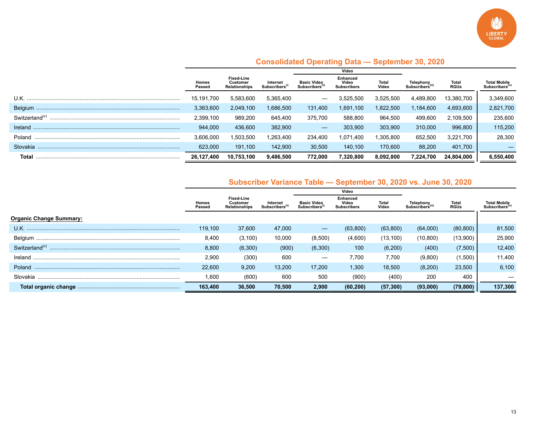

|                            |                 |                                                       |                          |                                                | Video                                          |                |                                          |                      |                                                    |
|----------------------------|-----------------|-------------------------------------------------------|--------------------------|------------------------------------------------|------------------------------------------------|----------------|------------------------------------------|----------------------|----------------------------------------------------|
|                            | Homes<br>Passed | <b>Fixed Line</b><br>Customer<br><b>Relationships</b> | Internet<br>Subscribers' | <b>Basic Video</b><br>Subscribers <sup>®</sup> | <b>Enhanced</b><br>Video<br><b>Subscribers</b> | Total<br>Video | Telephony<br>Subscribers <sup>(iii</sup> | Total<br><b>RGUs</b> | <b>Total Mobile</b><br>Subscribers <sup>(iv)</sup> |
|                            | 15,191,700      | 5.583.600                                             | 5,365,400                |                                                | 3.525.500                                      | 3,525,500      | 4,489,800                                | 13,380,700           | 3,349,600                                          |
|                            | 3,363,600       | 2,049,100                                             | 1,686,500                | 131,400                                        | 1,691,100                                      | 1,822,500      | 184,600                                  | 4,693,600            | 2,821,700                                          |
| Switzerland <sup>(v)</sup> | 2,399,100       | 989.200                                               | 645,400                  | 375,700                                        | 588.800                                        | 964,500        | 499,600                                  | 2,109,500            | 235,600                                            |
| Ireland                    | 944,000         | 436,600                                               | 382,900                  |                                                | 303,900                                        | 303,900        | 310.000                                  | 996,800              | 115,200                                            |
| Poland                     | 3,606,000       | 1,503,500                                             | 1,263,400                | 234.400                                        | 1,071,400                                      | .305.800       | 652,500                                  | 3,221,700            | 28,300                                             |
| Slovakia                   | 623,000         | 191.100                                               | 142,900                  | 30,500                                         | 140.100                                        | 170,600        | 88,200                                   | 401,700              |                                                    |
| Total                      | 26,127,400      | 10.753.100                                            | 9,486,500                | 772.000                                        | 7,320,800                                      | 8,092,800      | 7,224,700                                | 24,804,000           | 6,550,400                                          |

#### **Consolidated Operating Data — September 30, 2020**

#### **Subscriber Variance Table — September 30, 2020 vs. June 30, 2020**

|                                |                 |                                                       |                                        |                                                 | Video                                          |                |                                           |                      |                                                    |
|--------------------------------|-----------------|-------------------------------------------------------|----------------------------------------|-------------------------------------------------|------------------------------------------------|----------------|-------------------------------------------|----------------------|----------------------------------------------------|
|                                | Homes<br>Passed | <b>Fixed Line</b><br><b>Customer</b><br>Relationships | Internet<br>Subscribers <sup>(ii</sup> | <b>Basic Video</b><br>Subscribers <sup>(i</sup> | <b>Enhanced</b><br>Video<br><b>Subscribers</b> | Total<br>Video | Telephony<br>Subscribers <sup>(iii)</sup> | Total<br><b>RGUs</b> | <b>Total Mobile</b><br>Subscribers <sup>(iv)</sup> |
| <b>Organic Change Summary:</b> |                 |                                                       |                                        |                                                 |                                                |                |                                           |                      |                                                    |
|                                | 119.100         | 37,600                                                | 47,000                                 |                                                 | (63,800)                                       | (63, 800)      | (64,000)                                  | (80, 800)            | 81,500                                             |
|                                | 8,400           | (3, 100)                                              | 10,000                                 | (8,500)                                         | (4,600)                                        | (13, 100)      | (10, 800)                                 | (13,900)             | 25,900                                             |
| Switzerland $(v)$              | 8,800           | (6,300)                                               | (900)                                  | (6,300)                                         | 100                                            | (6, 200)       | (400)                                     | (7,500)              | 12,400                                             |
| Ireland                        | 2,900           | (300)                                                 | 600                                    |                                                 | 7.700                                          | 7.700          | (9,800)                                   | (1,500)              | 11.400                                             |
| Poland                         | 22,600          | 9,200                                                 | 13,200                                 | 17.200                                          | 1,300                                          | 18,500         | (8,200)                                   | 23,500               | 6,100                                              |
| Slovakia                       | 1,600           | (600)                                                 | 600                                    | 500                                             | (900)                                          | (400)          | 200                                       | 400                  |                                                    |
|                                | 163,400         | 36,500                                                | 70,500                                 | 2,900                                           | (60, 200)                                      | (57, 300)      | (93,000)                                  | (79, 800)            | 137,300                                            |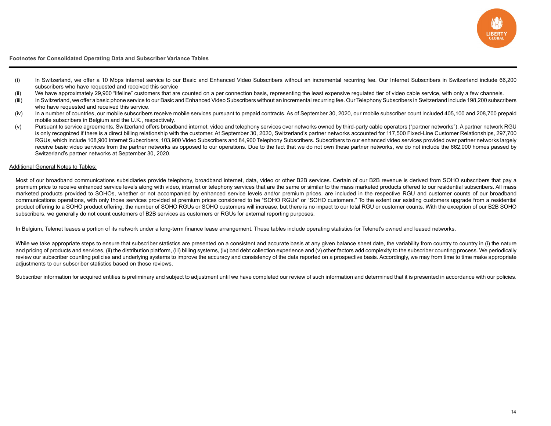

**Footnotes for Consolidated Operating Data and Subscriber Variance Tables**

- (i) In Switzerland, we offer a 10 Mbps internet service to our Basic and Enhanced Video Subscribers without an incremental recurring fee. Our Internet Subscribers in Switzerland include 66,200 subscribers who have requested and received this service
- (ii) We have approximately 29,900 "lifeline" customers that are counted on a per connection basis, representing the least expensive regulated tier of video cable service, with only a few channels.
- (iii) In Switzerland, we offer a basic phone service to our Basic and Enhanced Video Subscribers without an incremental recurring fee. Our Telephony Subscribers in Switzerland include 198,200 subscribers who have requested and received this service.
- (iv) In a number of countries, our mobile subscribers receive mobile services pursuant to prepaid contracts. As of September 30, 2020, our mobile subscriber count included 405,100 and 208,700 prepaid mobile subscribers in Belgium and the U.K., respectively.
- (v) Pursuant to service agreements, Switzerland offers broadband internet, video and telephony services over networks owned by third-party cable operators ("partner networks"). A partner network RGU is only recognized if there is a direct billing relationship with the customer. At September 30, 2020, Switzerland's partner networks accounted for 117,500 Fixed-Line Customer Relationships, 297,700 RGUs, which include 108,900 Internet Subscribers, 103,900 Video Subscribers and 84,900 Telephony Subscribers. Subscribers to our enhanced video services provided over partner networks largely receive basic video services from the partner networks as opposed to our operations. Due to the fact that we do not own these partner networks, we do not include the 662,000 homes passed by Switzerland's partner networks at September 30, 2020.

#### Additional General Notes to Tables:

Most of our broadband communications subsidiaries provide telephony, broadband internet, data, video or other B2B services. Certain of our B2B revenue is derived from SOHO subscribers that pay a premium price to receive enhanced service levels along with video, internet or telephony services that are the same or similar to the mass marketed products offered to our residential subscribers. All mass marketed products provided to SOHOs, whether or not accompanied by enhanced service levels and/or premium prices, are included in the respective RGU and customer counts of our broadband communications operations, with only those services provided at premium prices considered to be "SOHO RGUs" or "SOHO customers." To the extent our existing customers upgrade from a residential product offering to a SOHO product offering, the number of SOHO RGUs or SOHO customers will increase, but there is no impact to our total RGU or customer counts. With the exception of our B2B SOHO subscribers, we generally do not count customers of B2B services as customers or RGUs for external reporting purposes.

In Belgium, Telenet leases a portion of its network under a long-term finance lease arrangement. These tables include operating statistics for Telenet's owned and leased networks.

While we take appropriate steps to ensure that subscriber statistics are presented on a consistent and accurate basis at any given balance sheet date, the variability from country to country in (i) the nature and pricing of products and services, (ii) the distribution platform, (iii) billing systems, (iv) bad debt collection experience and (v) other factors add complexity to the subscriber counting process. We periodically review our subscriber counting policies and underlying systems to improve the accuracy and consistency of the data reported on a prospective basis. Accordingly, we may from time to time make appropriate adjustments to our subscriber statistics based on those reviews.

Subscriber information for acquired entities is preliminary and subject to adjustment until we have completed our review of such information and determined that it is presented in accordance with our policies.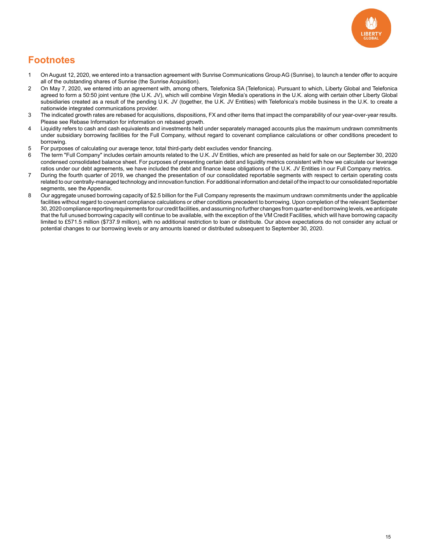

### **Footnotes**

- 1 On August 12, 2020, we entered into a transaction agreement with Sunrise Communications Group AG (Sunrise), to launch a tender offer to acquire all of the outstanding shares of Sunrise (the Sunrise Acquisition).
- 2 On May 7, 2020, we entered into an agreement with, among others, Telefonica SA (Telefonica). Pursuant to which, Liberty Global and Telefonica agreed to form a 50:50 joint venture (the U.K. JV), which will combine Virgin Media's operations in the U.K. along with certain other Liberty Global subsidiaries created as a result of the pending U.K. JV (together, the U.K. JV Entities) with Telefonica's mobile business in the U.K. to create a nationwide integrated communications provider.
- 3 The indicated growth rates are rebased for acquisitions, dispositions, FX and other items that impact the comparability of our year-over-year results. Please see Rebase Information for information on rebased growth.
- 4 Liquidity refers to cash and cash equivalents and investments held under separately managed accounts plus the maximum undrawn commitments under subsidiary borrowing facilities for the Full Company, without regard to covenant compliance calculations or other conditions precedent to borrowing.
- 5 For purposes of calculating our average tenor, total third-party debt excludes vendor financing.
- 6 The term "Full Company" includes certain amounts related to the U.K. JV Entities, which are presented as held for sale on our September 30, 2020 condensed consolidated balance sheet. For purposes of presenting certain debt and liquidity metrics consistent with how we calculate our leverage ratios under our debt agreements, we have included the debt and finance lease obligations of the U.K. JV Entities in our Full Company metrics.
- 7 During the fourth quarter of 2019, we changed the presentation of our consolidated reportable segments with respect to certain operating costs related to our centrally-managed technology and innovation function. For additional information and detail of the impact to our consolidated reportable segments, see the Appendix.
- 8 Our aggregate unused borrowing capacity of \$2.5 billion for the Full Company represents the maximum undrawn commitments under the applicable facilities without regard to covenant compliance calculations or other conditions precedent to borrowing. Upon completion of the relevant September 30, 2020 compliance reporting requirements for our credit facilities, and assuming no further changes from quarter-end borrowing levels, we anticipate that the full unused borrowing capacity will continue to be available, with the exception of the VM Credit Facilities, which will have borrowing capacity limited to £571.5 million (\$737.9 million), with no additional restriction to loan or distribute. Our above expectations do not consider any actual or potential changes to our borrowing levels or any amounts loaned or distributed subsequent to September 30, 2020.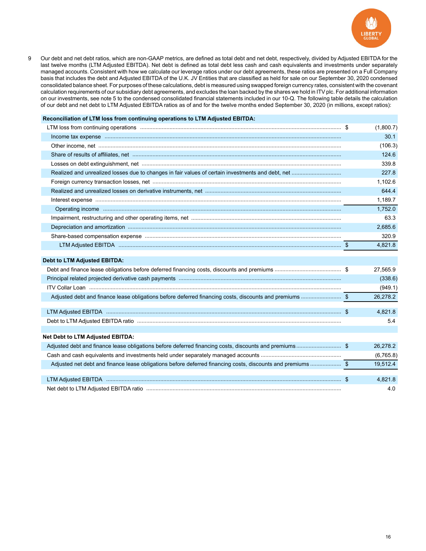

9 Our debt and net debt ratios, which are non-GAAP metrics, are defined as total debt and net debt, respectively, divided by Adjusted EBITDA for the last twelve months (LTM Adjusted EBITDA). Net debt is defined as total debt less cash and cash equivalents and investments under separately managed accounts. Consistent with how we calculate our leverage ratios under our debt agreements, these ratios are presented on a Full Company basis that includes the debt and Adjusted EBITDA of the U.K. JV Entities that are classified as held for sale on our September 30, 2020 condensed consolidated balance sheet. For purposes of these calculations, debt is measured using swapped foreign currency rates, consistent with the covenant calculation requirements of our subsidiary debt agreements, and excludes the loan backed by the shares we hold in ITV plc. For additional information on our investments, see note 5 to the condensed consolidated financial statements included in our 10-Q. The following table details the calculation of our debt and net debt to LTM Adjusted EBITDA ratios as of and for the twelve months ended September 30, 2020 (in millions, except ratios):

#### **Reconciliation of LTM loss from continuing operations to LTM Adjusted EBITDA:**

| LTM loss from continuing operations measurements and continued and statements are seen as the continuing operations measurements and the set of the set of the set of the set of the set of the set of the set of the set of t                                                                                                                                                                                                                     | (1,800.7) |
|----------------------------------------------------------------------------------------------------------------------------------------------------------------------------------------------------------------------------------------------------------------------------------------------------------------------------------------------------------------------------------------------------------------------------------------------------|-----------|
| Income tax expense <i>manufacture and a content of the series</i> and a content of the series of the series of the series of the series of the series of the series of the series of the series of the series of the series of the                                                                                                                                                                                                                 | 30.1      |
|                                                                                                                                                                                                                                                                                                                                                                                                                                                    | (106.3)   |
|                                                                                                                                                                                                                                                                                                                                                                                                                                                    | 124.6     |
|                                                                                                                                                                                                                                                                                                                                                                                                                                                    | 339.8     |
|                                                                                                                                                                                                                                                                                                                                                                                                                                                    | 227.8     |
|                                                                                                                                                                                                                                                                                                                                                                                                                                                    | 1.102.6   |
|                                                                                                                                                                                                                                                                                                                                                                                                                                                    | 644.4     |
| $\textbf{Interest expense} \label{def:3} \textbf{inverse} \textbf{response} \textbf{3} \textbf{3} \textbf{3} \textbf{4} \textbf{4} \textbf{5} \textbf{6} \textbf{7} \textbf{8} \textbf{8} \textbf{9} \textbf{1} \textbf{1} \textbf{1} \textbf{1} \textbf{1} \textbf{1} \textbf{1} \textbf{1} \textbf{1} \textbf{1} \textbf{1} \textbf{1} \textbf{1} \textbf{1} \textbf{1} \textbf{1} \textbf{1} \textbf{1} \textbf{1} \textbf{1} \textbf{1} \text$ | 1.189.7   |
|                                                                                                                                                                                                                                                                                                                                                                                                                                                    | 1,752.0   |
|                                                                                                                                                                                                                                                                                                                                                                                                                                                    | 63.3      |
|                                                                                                                                                                                                                                                                                                                                                                                                                                                    | 2,685.6   |
|                                                                                                                                                                                                                                                                                                                                                                                                                                                    | 320.9     |
|                                                                                                                                                                                                                                                                                                                                                                                                                                                    | 4.821.8   |
|                                                                                                                                                                                                                                                                                                                                                                                                                                                    |           |

#### **Debt to LTM Adjusted EBITDA:**

|                                                                                                             | 27,565.9  |
|-------------------------------------------------------------------------------------------------------------|-----------|
|                                                                                                             | (338.6)   |
|                                                                                                             | (949.1)   |
| Adjusted debt and finance lease obligations before deferred financing costs, discounts and premiums \$      | 26,278.2  |
|                                                                                                             |           |
|                                                                                                             | 4,821.8   |
|                                                                                                             | 5.4       |
|                                                                                                             |           |
| <b>Net Debt to LTM Adjusted EBITDA:</b>                                                                     |           |
| Adjusted debt and finance lease obligations before deferred financing costs, discounts and premiums\$       | 26,278.2  |
|                                                                                                             | (6,765.8) |
| Adjusted net debt and finance lease obligations before deferred financing costs, discounts and premiums  \$ | 19,512.4  |
|                                                                                                             |           |
|                                                                                                             | 4,821.8   |
|                                                                                                             | 4.0       |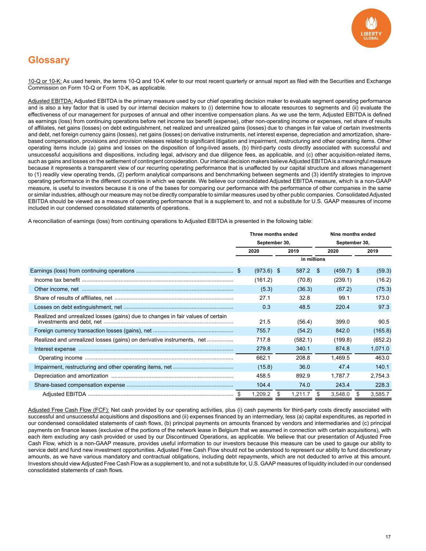

# **Glossary**

10-Q or 10-K: As used herein, the terms 10-Q and 10-K refer to our most recent quarterly or annual report as filed with the Securities and Exchange Commission on Form 10-Q or Form 10-K, as applicable.

Adjusted EBITDA: Adjusted EBITDA is the primary measure used by our chief operating decision maker to evaluate segment operating performance and is also a key factor that is used by our internal decision makers to (i) determine how to allocate resources to segments and (ii) evaluate the effectiveness of our management for purposes of annual and other incentive compensation plans. As we use the term, Adjusted EBITDA is defined as earnings (loss) from continuing operations before net income tax benefit (expense), other non-operating income or expenses, net share of results of affiliates, net gains (losses) on debt extinguishment, net realized and unrealized gains (losses) due to changes in fair value of certain investments and debt, net foreign currency gains (losses), net gains (losses) on derivative instruments, net interest expense, depreciation and amortization, sharebased compensation, provisions and provision releases related to significant litigation and impairment, restructuring and other operating items. Other operating items include (a) gains and losses on the disposition of long-lived assets, (b) third-party costs directly associated with successful and unsuccessful acquisitions and dispositions, including legal, advisory and due diligence fees, as applicable, and (c) other acquisition-related items, such as gains and losses on the settlement of contingent consideration. Our internal decision makers believe Adjusted EBITDA is a meaningful measure because it represents a transparent view of our recurring operating performance that is unaffected by our capital structure and allows management to (1) readily view operating trends, (2) perform analytical comparisons and benchmarking between segments and (3) identify strategies to improve operating performance in the different countries in which we operate. We believe our consolidated Adjusted EBITDA measure, which is a non-GAAP measure, is useful to investors because it is one of the bases for comparing our performance with the performance of other companies in the same or similar industries, although our measure may not be directly comparable to similar measures used by other public companies. Consolidated Adjusted EBITDA should be viewed as a measure of operating performance that is a supplement to, and not a substitute for U.S. GAAP measures of income included in our condensed consolidated statements of operations.

A reconciliation of earnings (loss) from continuing operations to Adjusted EBITDA is presented in the following table:

|                                                                                 | Three months ended<br>September 30, |              |   |             |      | Nine months ended<br>September 30, |   |         |  |
|---------------------------------------------------------------------------------|-------------------------------------|--------------|---|-------------|------|------------------------------------|---|---------|--|
|                                                                                 |                                     |              |   |             |      |                                    |   |         |  |
|                                                                                 | 2020                                |              |   | 2019        | 2020 |                                    |   | 2019    |  |
|                                                                                 |                                     |              |   | in millions |      |                                    |   |         |  |
|                                                                                 |                                     | $(973.6)$ \$ |   | 587.2       | \$   | $(459.7)$ \$                       |   | (59.3)  |  |
|                                                                                 |                                     | (161.2)      |   | (70.8)      |      | (239.1)                            |   | (16.2)  |  |
|                                                                                 |                                     | (5.3)        |   | (36.3)      |      | (67.2)                             |   | (75.3)  |  |
|                                                                                 |                                     | 27.1         |   | 32.8        |      | 99.1                               |   | 173.0   |  |
|                                                                                 |                                     | 0.3          |   | 48.5        |      | 220.4                              |   | 97.3    |  |
| Realized and unrealized losses (gains) due to changes in fair values of certain |                                     | 21.5         |   | (56.4)      |      | 399.0                              |   | 90.5    |  |
|                                                                                 |                                     | 755.7        |   | (54.2)      |      | 842.0                              |   | (165.8) |  |
| Realized and unrealized losses (gains) on derivative instruments, net           |                                     | 717.8        |   | (582.1)     |      | (199.8)                            |   | (652.2) |  |
|                                                                                 |                                     | 279.8        |   | 340.1       |      | 874.8                              |   | 1,071.0 |  |
|                                                                                 |                                     | 662.1        |   | 208.8       |      | 1,469.5                            |   | 463.0   |  |
|                                                                                 |                                     | (15.8)       |   | 36.0        |      | 47.4                               |   | 140.1   |  |
|                                                                                 |                                     | 458.5        |   | 892.9       |      | 1.787.7                            |   | 2,754.3 |  |
|                                                                                 |                                     | 104.4        |   | 74.0        |      | 243.4                              |   | 228.3   |  |
|                                                                                 |                                     | 1,209.2      | S | 1,211.7     | -S   | 3,548.0                            | S | 3,585.7 |  |

Adjusted Free Cash Flow (FCF): Net cash provided by our operating activities, plus (i) cash payments for third-party costs directly associated with successful and unsuccessful acquisitions and dispositions and (ii) expenses financed by an intermediary, less (a) capital expenditures, as reported in our condensed consolidated statements of cash flows, (b) principal payments on amounts financed by vendors and intermediaries and (c) principal payments on finance leases (exclusive of the portions of the network lease in Belgium that we assumed in connection with certain acquisitions), with each item excluding any cash provided or used by our Discontinued Operations, as applicable. We believe that our presentation of Adjusted Free Cash Flow, which is a non-GAAP measure, provides useful information to our investors because this measure can be used to gauge our ability to service debt and fund new investment opportunities. Adjusted Free Cash Flow should not be understood to represent our ability to fund discretionary amounts, as we have various mandatory and contractual obligations, including debt repayments, which are not deducted to arrive at this amount. Investors should view Adjusted Free Cash Flow as a supplement to, and not a substitute for, U.S. GAAP measures of liquidity included in our condensed consolidated statements of cash flows.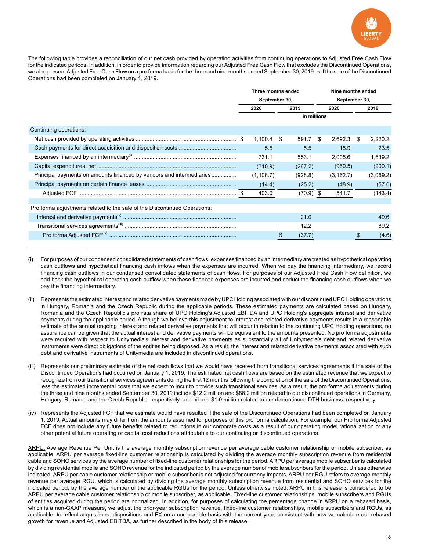

The following table provides a reconciliation of our net cash provided by operating activities from continuing operations to Adjusted Free Cash Flow for the indicated periods. In addition, in order to provide information regarding our Adjusted Free Cash Flow that excludes the Discontinued Operations, we also present Adjusted Free Cash Flow on a pro forma basis for the three and nine months ended September 30, 2019 as if the sale of the Discontinued Operations had been completed on January 1, 2019.

|                                                                           | Three months ended<br>September 30, |              |  |             |    | Nine months ended<br>September 30, |    |           |  |
|---------------------------------------------------------------------------|-------------------------------------|--------------|--|-------------|----|------------------------------------|----|-----------|--|
|                                                                           |                                     |              |  |             |    |                                    |    |           |  |
|                                                                           | 2020                                |              |  | 2019        |    |                                    |    | 2019      |  |
|                                                                           |                                     |              |  | in millions |    |                                    |    |           |  |
| Continuing operations:                                                    |                                     |              |  |             |    |                                    |    |           |  |
|                                                                           |                                     | $1,100.4$ \$ |  | 591.7       | \$ | 2,692.3                            | \$ | 2,220.2   |  |
|                                                                           |                                     | 5.5          |  | 5.5         |    | 15.9                               |    | 23.5      |  |
|                                                                           |                                     | 731.1        |  | 553.1       |    | 2,005.6                            |    | 1,639.2   |  |
|                                                                           |                                     | (310.9)      |  | (267.2)     |    | (960.5)                            |    | (900.1)   |  |
| Principal payments on amounts financed by vendors and intermediaries      |                                     | (1, 108.7)   |  | (928.8)     |    | (3, 162.7)                         |    | (3,069.2) |  |
|                                                                           |                                     | (14.4)       |  | (25.2)      |    | (48.9)                             |    | (57.0)    |  |
|                                                                           |                                     | 403.0        |  | (70.9)      |    | 541.7                              |    | (143.4)   |  |
|                                                                           |                                     |              |  |             |    |                                    |    |           |  |
| Pro forma adjustments related to the sale of the Discontinued Operations: |                                     |              |  |             |    |                                    |    |           |  |
|                                                                           |                                     |              |  | 21.0        |    |                                    |    | 49.6      |  |
|                                                                           |                                     |              |  | 12.2        |    |                                    |    | 89.2      |  |
|                                                                           |                                     |              |  | (37.7)      |    |                                    |    | (4.6)     |  |

<sup>(</sup>i) For purposes of our condensed consolidated statements of cash flows, expenses financed by an intermediary are treated as hypothetical operating cash outflows and hypothetical financing cash inflows when the expenses are incurred. When we pay the financing intermediary, we record financing cash outflows in our condensed consolidated statements of cash flows. For purposes of our Adjusted Free Cash Flow definition, we add back the hypothetical operating cash outflow when these financed expenses are incurred and deduct the financing cash outflows when we pay the financing intermediary.

 $\mathcal{L}_\text{max}$  , where  $\mathcal{L}_\text{max}$ 

- (ii) Represents the estimated interest and related derivative payments made by UPC Holding associated with our discontinued UPC Holding operations in Hungary, Romania and the Czech Republic during the applicable periods. These estimated payments are calculated based on Hungary, Romania and the Czech Republic's pro rata share of UPC Holding's Adjusted EBITDA and UPC Holding's aggregate interest and derivative payments during the applicable period. Although we believe this adjustment to interest and related derivative payments results in a reasonable estimate of the annual ongoing interest and related derivative payments that will occur in relation to the continuing UPC Holding operations, no assurance can be given that the actual interest and derivative payments will be equivalent to the amounts presented. No pro forma adjustments were required with respect to Unitymedia's interest and derivative payments as substantially all of Unitymedia's debt and related derivative instruments were direct obligations of the entities being disposed. As a result, the interest and related derivative payments associated with such debt and derivative instruments of Unitymedia are included in discontinued operations.
- (iii) Represents our preliminary estimate of the net cash flows that we would have received from transitional services agreements if the sale of the Discontinued Operations had occurred on January 1, 2019. The estimated net cash flows are based on the estimated revenue that we expect to recognize from our transitional services agreements during the first 12 months following the completion of the sale of the Discontinued Operations, less the estimated incremental costs that we expect to incur to provide such transitional services. As a result, the pro forma adjustments during the three and nine months ended September 30, 2019 include \$12.2 million and \$88.2 million related to our discontinued operations in Germany, Hungary, Romania and the Czech Republic, respectively, and nil and \$1.0 million related to our discontinued DTH business, respectively.
- (iv) Represents the Adjusted FCF that we estimate would have resulted if the sale of the Discontinued Operations had been completed on January 1, 2019. Actual amounts may differ from the amounts assumed for purposes of this pro forma calculation. For example, our Pro forma Adjusted FCF does not include any future benefits related to reductions in our corporate costs as a result of our operating model rationalization or any other potential future operating or capital cost reductions attributable to our continuing or discontinued operations.

ARPU: Average Revenue Per Unit is the average monthly subscription revenue per average cable customer relationship or mobile subscriber, as applicable. ARPU per average fixed-line customer relationship is calculated by dividing the average monthly subscription revenue from residential cable and SOHO services by the average number of fixed-line customer relationships for the period. ARPU per average mobile subscriber is calculated by dividing residential mobile and SOHO revenue for the indicated period by the average number of mobile subscribers for the period. Unless otherwise indicated, ARPU per cable customer relationship or mobile subscriber is not adjusted for currency impacts. ARPU per RGU refers to average monthly revenue per average RGU, which is calculated by dividing the average monthly subscription revenue from residential and SOHO services for the indicated period, by the average number of the applicable RGUs for the period. Unless otherwise noted, ARPU in this release is considered to be ARPU per average cable customer relationship or mobile subscriber, as applicable. Fixed-line customer relationships, mobile subscribers and RGUs of entities acquired during the period are normalized. In addition, for purposes of calculating the percentage change in ARPU on a rebased basis, which is a non-GAAP measure, we adjust the prior-year subscription revenue, fixed-line customer relationships, mobile subscribers and RGUs, as applicable, to reflect acquisitions, dispositions and FX on a comparable basis with the current year, consistent with how we calculate our rebased growth for revenue and Adjusted EBITDA, as further described in the body of this release.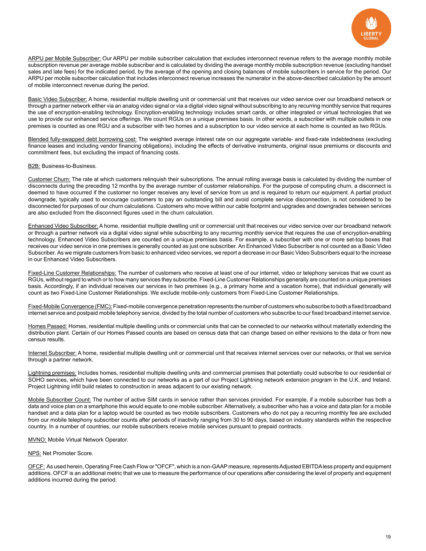

ARPU per Mobile Subscriber: Our ARPU per mobile subscriber calculation that excludes interconnect revenue refers to the average monthly mobile subscription revenue per average mobile subscriber and is calculated by dividing the average monthly mobile subscription revenue (excluding handset sales and late fees) for the indicated period, by the average of the opening and closing balances of mobile subscribers in service for the period. Our ARPU per mobile subscriber calculation that includes interconnect revenue increases the numerator in the above-described calculation by the amount of mobile interconnect revenue during the period.

Basic Video Subscriber: A home, residential multiple dwelling unit or commercial unit that receives our video service over our broadband network or through a partner network either via an analog video signal or via a digital video signal without subscribing to any recurring monthly service that requires the use of encryption-enabling technology. Encryption-enabling technology includes smart cards, or other integrated or virtual technologies that we use to provide our enhanced service offerings. We count RGUs on a unique premises basis. In other words, a subscriber with multiple outlets in one premises is counted as one RGU and a subscriber with two homes and a subscription to our video service at each home is counted as two RGUs.

Blended fully-swapped debt borrowing cost: The weighted average interest rate on our aggregate variable- and fixed-rate indebtedness (excluding finance leases and including vendor financing obligations), including the effects of derivative instruments, original issue premiums or discounts and commitment fees, but excluding the impact of financing costs.

#### B2B: Business-to-Business.

Customer Churn: The rate at which customers relinquish their subscriptions. The annual rolling average basis is calculated by dividing the number of disconnects during the preceding 12 months by the average number of customer relationships. For the purpose of computing churn, a disconnect is deemed to have occurred if the customer no longer receives any level of service from us and is required to return our equipment. A partial product downgrade, typically used to encourage customers to pay an outstanding bill and avoid complete service disconnection, is not considered to be disconnected for purposes of our churn calculations. Customers who move within our cable footprint and upgrades and downgrades between services are also excluded from the disconnect figures used in the churn calculation.

Enhanced Video Subscriber: A home, residential multiple dwelling unit or commercial unit that receives our video service over our broadband network or through a partner network via a digital video signal while subscribing to any recurring monthly service that requires the use of encryption-enabling technology. Enhanced Video Subscribers are counted on a unique premises basis. For example, a subscriber with one or more set-top boxes that receives our video service in one premises is generally counted as just one subscriber. An Enhanced Video Subscriber is not counted as a Basic Video Subscriber. As we migrate customers from basic to enhanced video services, we report a decrease in our Basic Video Subscribers equal to the increase in our Enhanced Video Subscribers.

Fixed-Line Customer Relationships: The number of customers who receive at least one of our internet, video or telephony services that we count as RGUs, without regard to which or to how many services they subscribe. Fixed-Line Customer Relationships generally are counted on a unique premises basis. Accordingly, if an individual receives our services in two premises (e.g., a primary home and a vacation home), that individual generally will count as two Fixed-Line Customer Relationships. We exclude mobile-only customers from Fixed-Line Customer Relationships.

Fixed-Mobile Convergence (FMC): Fixed-mobile convergence penetration represents the number of customers who subscribe to both a fixed broadband internet service and postpaid mobile telephony service, divided by the total number of customers who subscribe to our fixed broadband internet service.

Homes Passed: Homes, residential multiple dwelling units or commercial units that can be connected to our networks without materially extending the distribution plant. Certain of our Homes Passed counts are based on census data that can change based on either revisions to the data or from new census results.

Internet Subscriber: A home, residential multiple dwelling unit or commercial unit that receives internet services over our networks, or that we service through a partner network.

Lightning premises: Includes homes, residential multiple dwelling units and commercial premises that potentially could subscribe to our residential or SOHO services, which have been connected to our networks as a part of our Project Lightning network extension program in the U.K. and Ireland. Project Lightning infill build relates to construction in areas adjacent to our existing network.

Mobile Subscriber Count: The number of active SIM cards in service rather than services provided. For example, if a mobile subscriber has both a data and voice plan on a smartphone this would equate to one mobile subscriber. Alternatively, a subscriber who has a voice and data plan for a mobile handset and a data plan for a laptop would be counted as two mobile subscribers. Customers who do not pay a recurring monthly fee are excluded from our mobile telephony subscriber counts after periods of inactivity ranging from 30 to 90 days, based on industry standards within the respective country. In a number of countries, our mobile subscribers receive mobile services pursuant to prepaid contracts.

#### **MVNO: Mobile Virtual Network Operator.**

#### NPS: Net Promoter Score.

OFCF: As used herein, Operating Free Cash Flow or "OFCF", which is a non-GAAP measure, represents Adjusted EBITDA less property and equipment additions. OFCF is an additional metric that we use to measure the performance of our operations after considering the level of property and equipment additions incurred during the period.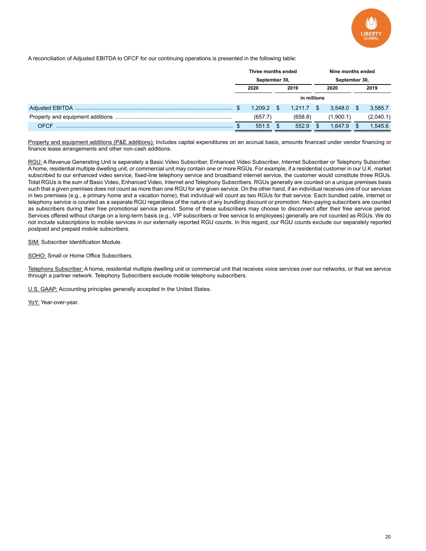

A reconciliation of Adjusted EBITDA to OFCF for our continuing operations is presented in the following table:

|      | Three months ended |         |    |         | Nine months ended |               |  |           |  |
|------|--------------------|---------|----|---------|-------------------|---------------|--|-----------|--|
|      | September 30,      |         |    |         |                   | September 30, |  |           |  |
|      | 2020               |         |    | 2019    |                   | 2020          |  | 2019      |  |
|      | in millions        |         |    |         |                   |               |  |           |  |
|      |                    | 1.209.2 | Æ. | 1.211.7 | \$.               | $3.548.0$ \$  |  | 3,585.7   |  |
|      |                    | (657.7) |    | (658.8) |                   | (1.900.1)     |  | (2,040.1) |  |
| OECE |                    | 551.5   |    | 552.9   |                   | 1.647.9       |  | 1,545.6   |  |

Property and equipment additions (P&E additions): Includes capital expenditures on an accrual basis, amounts financed under vendor financing or finance lease arrangements and other non-cash additions.

RGU: A Revenue Generating Unit is separately a Basic Video Subscriber, Enhanced Video Subscriber, Internet Subscriber or Telephony Subscriber. A home, residential multiple dwelling unit, or commercial unit may contain one or more RGUs. For example, if a residential customer in our U.K. market subscribed to our enhanced video service, fixed-line telephony service and broadband internet service, the customer would constitute three RGUs. Total RGUs is the sum of Basic Video, Enhanced Video, Internet and Telephony Subscribers. RGUs generally are counted on a unique premises basis such that a given premises does not count as more than one RGU for any given service. On the other hand, if an individual receives one of our services in two premises (e.g., a primary home and a vacation home), that individual will count as two RGUs for that service. Each bundled cable, internet or telephony service is counted as a separate RGU regardless of the nature of any bundling discount or promotion. Non-paying subscribers are counted as subscribers during their free promotional service period. Some of these subscribers may choose to disconnect after their free service period. Services offered without charge on a long-term basis (e.g., VIP subscribers or free service to employees) generally are not counted as RGUs. We do not include subscriptions to mobile services in our externally reported RGU counts. In this regard, our RGU counts exclude our separately reported postpaid and prepaid mobile subscribers.

SIM: Subscriber Identification Module.

SOHO: Small or Home Office Subscribers.

Telephony Subscriber: A home, residential multiple dwelling unit or commercial unit that receives voice services over our networks, or that we service through a partner network. Telephony Subscribers exclude mobile telephony subscribers.

U.S. GAAP: Accounting principles generally accepted in the United States.

YoY: Year-over-year.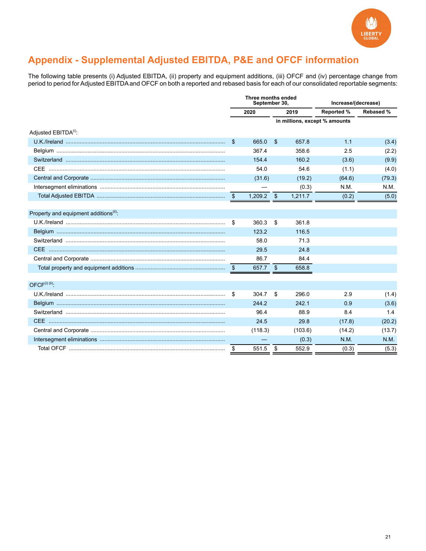

# Appendix - Supplemental Adjusted EBITDA, P&E and OFCF information

The following table presents (i) Adjusted EBITDA, (ii) property and equipment additions, (iii) OFCF and (iv) percentage change from period to period for Adjusted EBITDA and OFCF on both a reported and rebased basis for each of our consolidated reportable segments:

|                                                    | Three months ended<br>September 30, |              |    |         | Increase/(decrease)           |             |
|----------------------------------------------------|-------------------------------------|--------------|----|---------|-------------------------------|-------------|
|                                                    |                                     | 2020         |    | 2019    | <b>Reported %</b>             | Rebased %   |
|                                                    |                                     |              |    |         | in millions, except % amounts |             |
| Adjusted EBITDA <sup>(i)</sup> :                   |                                     |              |    |         |                               |             |
|                                                    | \$                                  | 665.0        | \$ | 657.8   | 1.1                           | (3.4)       |
|                                                    |                                     | 367.4        |    | 358.6   | 2.5                           | (2.2)       |
|                                                    |                                     | 154.4        |    | 160.2   | (3.6)                         | (9.9)       |
|                                                    |                                     | 54.0         |    | 54.6    | (1.1)                         | (4.0)       |
|                                                    |                                     | (31.6)       |    | (19.2)  | (64.6)                        | (79.3)      |
|                                                    |                                     |              |    | (0.3)   | N.M.                          | N.M.        |
|                                                    |                                     | $1,209.2$ \$ |    | 1,211.7 | (0.2)                         | (5.0)       |
|                                                    |                                     |              |    |         |                               |             |
| Property and equipment additions <sup>(ii)</sup> : |                                     |              |    |         |                               |             |
|                                                    | \$                                  | 360.3        | \$ | 361.8   |                               |             |
|                                                    |                                     | 123.2        |    | 116.5   |                               |             |
|                                                    |                                     | 58.0         |    | 71.3    |                               |             |
|                                                    |                                     | 29.5         |    | 24.8    |                               |             |
|                                                    |                                     | 86.7         |    | 84.4    |                               |             |
|                                                    | - \$                                | 657.7 \$     |    | 658.8   |                               |             |
| $OFCF(i)$ (ii).                                    |                                     |              |    |         |                               |             |
|                                                    | -\$                                 | 304.7        | \$ | 296.0   | 2.9                           | (1.4)       |
|                                                    |                                     | 244.2        |    | 242.1   | 0.9                           | (3.6)       |
|                                                    |                                     | 96.4         |    | 88.9    | 8.4                           | 1.4         |
|                                                    |                                     | 24.5         |    | 29.8    | (17.8)                        | (20.2)      |
|                                                    |                                     | (118.3)      |    | (103.6) | (14.2)                        | (13.7)      |
|                                                    |                                     |              |    | (0.3)   | N.M.                          | <b>N.M.</b> |
|                                                    | \$                                  | 551.5        | \$ | 552.9   | (0.3)                         | (5.3)       |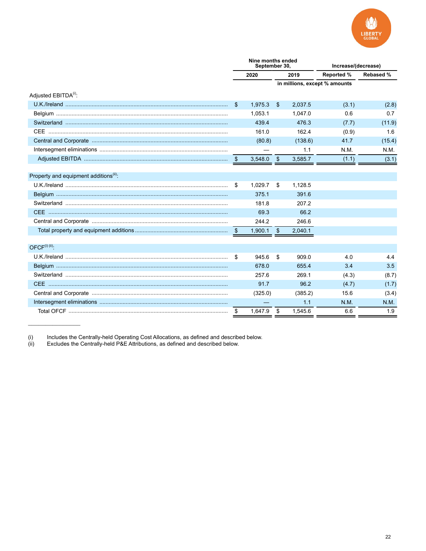

|                                                    | Nine months ended<br>September 30, |              |            |         | Increase/(decrease)           |           |  |  |
|----------------------------------------------------|------------------------------------|--------------|------------|---------|-------------------------------|-----------|--|--|
|                                                    |                                    | 2020<br>2019 |            |         | <b>Reported %</b>             | Rebased % |  |  |
|                                                    |                                    |              |            |         | in millions, except % amounts |           |  |  |
| Adjusted EBITDA <sup>(i)</sup> :                   |                                    |              |            |         |                               |           |  |  |
|                                                    | S.                                 | 1,975.3      | \$         | 2.037.5 | (3.1)                         | (2.8)     |  |  |
|                                                    |                                    | 1.053.1      |            | 1.047.0 | 0.6                           | 0.7       |  |  |
|                                                    |                                    | 439.4        |            | 476.3   | (7.7)                         | (11.9)    |  |  |
|                                                    |                                    | 161.0        |            | 162.4   | (0.9)                         | 1.6       |  |  |
|                                                    |                                    | (80.8)       |            | (138.6) | 41.7                          | (15.4)    |  |  |
|                                                    |                                    |              |            | 1.1     | N.M.                          | N.M.      |  |  |
|                                                    | \$                                 | 3,548.0      | $\sqrt{3}$ | 3,585.7 | (1.1)                         | (3.1)     |  |  |
|                                                    |                                    |              |            |         |                               |           |  |  |
| Property and equipment additions <sup>(ii)</sup> : |                                    |              |            |         |                               |           |  |  |
|                                                    | \$                                 | 1,029.7      | \$         | 1,128.5 |                               |           |  |  |
|                                                    |                                    | 375.1        |            | 391.6   |                               |           |  |  |
|                                                    |                                    | 181.8        |            | 207.2   |                               |           |  |  |
|                                                    |                                    | 69.3         |            | 66.2    |                               |           |  |  |
|                                                    |                                    | 244.2        |            | 246.6   |                               |           |  |  |
|                                                    | - \$                               | 1,900.1      | \$         | 2,040.1 |                               |           |  |  |
| $OFCF^{(i)(ii)}$ :                                 |                                    |              |            |         |                               |           |  |  |
|                                                    | \$                                 | 945.6        | \$         | 909.0   | 4.0                           | 4.4       |  |  |
|                                                    |                                    | 678.0        |            | 655.4   | 3.4                           | 3.5       |  |  |
|                                                    |                                    | 257.6        |            | 269.1   | (4.3)                         | (8.7)     |  |  |
|                                                    |                                    | 91.7         |            | 96.2    | (4.7)                         | (1.7)     |  |  |
|                                                    |                                    | (325.0)      |            | (385.2) | 15.6                          | (3.4)     |  |  |
|                                                    |                                    |              |            | 1.1     | N.M.                          | N.M.      |  |  |
|                                                    | \$                                 | 1.647.9      | \$         | 1.545.6 | 6.6                           | 1.9       |  |  |

 $(i)$ <br> $(ii)$ Includes the Centrally-held Operating Cost Allocations, as defined and described below.<br>Excludes the Centrally-held P&E Attributions, as defined and described below.